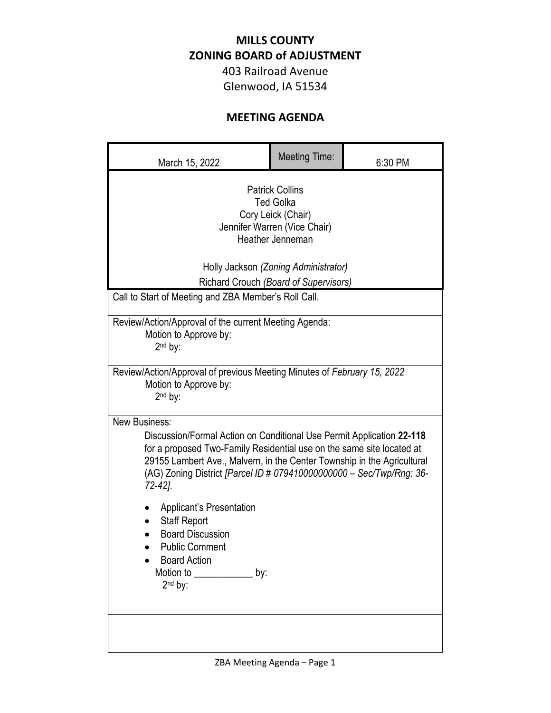## **MILLS COUNTY ZONING BOARD of ADJUSTMENT**

403 Railroad Avenue Glenwood, IA 51534

## **MEETING AGENDA**

| March 15, 2022                                                                                                                                                                                                                                                                                                                                                                                                     | <b>Meeting Time:</b> | 6:30 PM |  |
|--------------------------------------------------------------------------------------------------------------------------------------------------------------------------------------------------------------------------------------------------------------------------------------------------------------------------------------------------------------------------------------------------------------------|----------------------|---------|--|
| <b>Patrick Collins</b><br><b>Ted Golka</b><br>Cory Leick (Chair)<br>Jennifer Warren (Vice Chair)<br>Heather Jenneman<br>Holly Jackson (Zoning Administrator)                                                                                                                                                                                                                                                       |                      |         |  |
| Richard Crouch (Board of Supervisors)<br>Call to Start of Meeting and ZBA Member's Roll Call.                                                                                                                                                                                                                                                                                                                      |                      |         |  |
|                                                                                                                                                                                                                                                                                                                                                                                                                    |                      |         |  |
| Review/Action/Approval of the current Meeting Agenda:<br>Motion to Approve by:<br>$2nd$ by:                                                                                                                                                                                                                                                                                                                        |                      |         |  |
| Review/Action/Approval of previous Meeting Minutes of February 15, 2022<br>Motion to Approve by:<br>$2nd$ by:                                                                                                                                                                                                                                                                                                      |                      |         |  |
| <b>New Business:</b><br>Discussion/Formal Action on Conditional Use Permit Application 22-118<br>for a proposed Two-Family Residential use on the same site located at<br>29155 Lambert Ave., Malvern, in the Center Township in the Agricultural<br>(AG) Zoning District [Parcel ID # 079410000000000 - Sec/Twp/Rng: 36-<br>72-42].<br>Applicant's Presentation<br><b>Staff Report</b><br><b>Board Discussion</b> |                      |         |  |
| <b>Public Comment</b><br><b>Board Action</b><br>Motion to <b>Motion</b><br>by:<br>$2nd$ by:                                                                                                                                                                                                                                                                                                                        |                      |         |  |
|                                                                                                                                                                                                                                                                                                                                                                                                                    |                      |         |  |